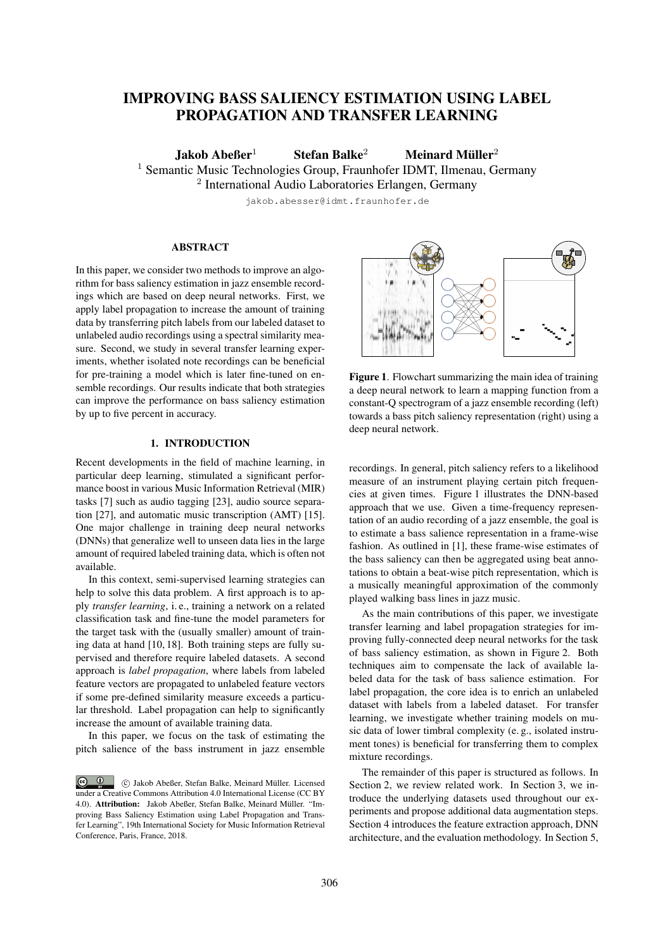# IMPROVING BASS SALIENCY ESTIMATION USING LABEL PROPAGATION AND TRANSFER LEARNING

Jakob Abeßer<sup>1</sup> Stefan Balke<sup>2</sup> Meinard Müller<sup>2</sup>

<sup>1</sup> Semantic Music Technologies Group, Fraunhofer IDMT, Ilmenau, Germany

<sup>2</sup> International Audio Laboratories Erlangen, Germany

jakob.abesser@idmt.fraunhofer.de

# ABSTRACT

In this paper, we consider two methods to improve an algorithm for bass saliency estimation in jazz ensemble recordings which are based on deep neural networks. First, we apply label propagation to increase the amount of training data by transferring pitch labels from our labeled dataset to unlabeled audio recordings using a spectral similarity measure. Second, we study in several transfer learning experiments, whether isolated note recordings can be beneficial for pre-training a model which is later fine-tuned on ensemble recordings. Our results indicate that both strategies can improve the performance on bass saliency estimation by up to five percent in accuracy.

# 1. INTRODUCTION

Recent developments in the field of machine learning, in particular deep learning, stimulated a significant performance boost in various Music Information Retrieval (MIR) tasks [7] such as audio tagging [23], audio source separation [27], and automatic music transcription (AMT) [15]. One major challenge in training deep neural networks (DNNs) that generalize well to unseen data lies in the large amount of required labeled training data, which is often not available.

In this context, semi-supervised learning strategies can help to solve this data problem. A first approach is to apply *transfer learning*, i. e., training a network on a related classification task and fine-tune the model parameters for the target task with the (usually smaller) amount of training data at hand [10, 18]. Both training steps are fully supervised and therefore require labeled datasets. A second approach is *label propagation*, where labels from labeled feature vectors are propagated to unlabeled feature vectors if some pre-defined similarity measure exceeds a particular threshold. Label propagation can help to significantly increase the amount of available training data.

In this paper, we focus on the task of estimating the pitch salience of the bass instrument in jazz ensemble



Figure 1. Flowchart summarizing the main idea of training a deep neural network to learn a mapping function from a constant-Q spectrogram of a jazz ensemble recording (left) towards a bass pitch saliency representation (right) using a deep neural network.

recordings. In general, pitch saliency refers to a likelihood measure of an instrument playing certain pitch frequencies at given times. Figure 1 illustrates the DNN-based approach that we use. Given a time-frequency representation of an audio recording of a jazz ensemble, the goal is to estimate a bass salience representation in a frame-wise fashion. As outlined in [1], these frame-wise estimates of the bass saliency can then be aggregated using beat annotations to obtain a beat-wise pitch representation, which is a musically meaningful approximation of the commonly played walking bass lines in jazz music.

As the main contributions of this paper, we investigate transfer learning and label propagation strategies for improving fully-connected deep neural networks for the task of bass saliency estimation, as shown in Figure 2. Both techniques aim to compensate the lack of available labeled data for the task of bass salience estimation. For label propagation, the core idea is to enrich an unlabeled dataset with labels from a labeled dataset. For transfer learning, we investigate whether training models on music data of lower timbral complexity (e. g., isolated instrument tones) is beneficial for transferring them to complex mixture recordings.

The remainder of this paper is structured as follows. In Section 2, we review related work. In Section 3, we introduce the underlying datasets used throughout our experiments and propose additional data augmentation steps. Section 4 introduces the feature extraction approach, DNN architecture, and the evaluation methodology. In Section 5,

 $\bigcirc$   $\bigcirc$  c Jakob Abeßer, Stefan Balke, Meinard Muller. Licensed ¨ under a Creative Commons Attribution 4.0 International License (CC BY 4.0). Attribution: Jakob Abeßer, Stefan Balke, Meinard Müller. "Improving Bass Saliency Estimation using Label Propagation and Transfer Learning", 19th International Society for Music Information Retrieval Conference, Paris, France, 2018.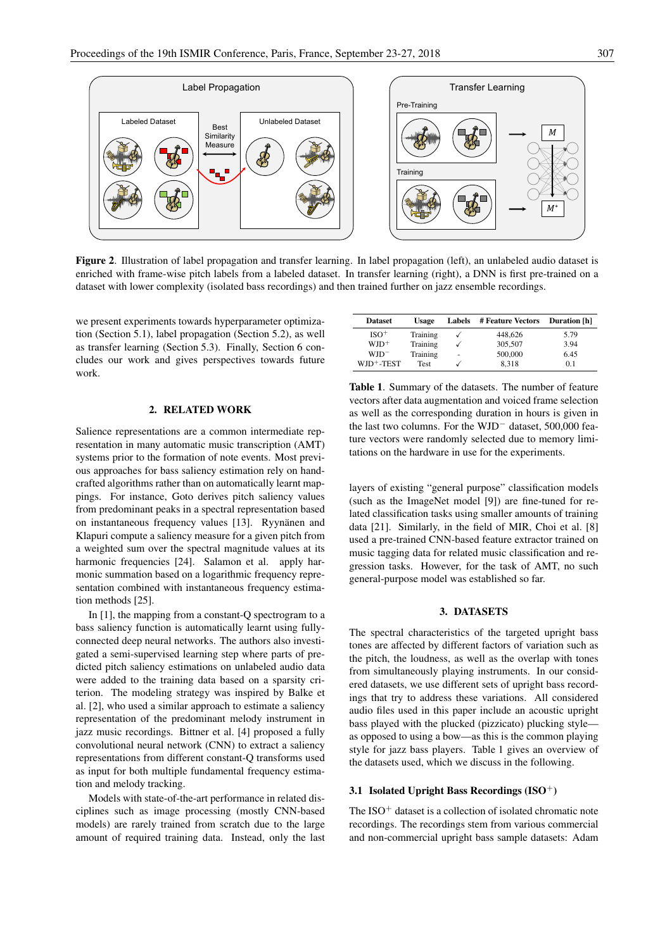

Figure 2. Illustration of label propagation and transfer learning. In label propagation (left), an unlabeled audio dataset is enriched with frame-wise pitch labels from a labeled dataset. In transfer learning (right), a DNN is first pre-trained on a dataset with lower complexity (isolated bass recordings) and then trained further on jazz ensemble recordings.

we present experiments towards hyperparameter optimization (Section 5.1), label propagation (Section 5.2), as well as transfer learning (Section 5.3). Finally, Section 6 concludes our work and gives perspectives towards future work.

# 2. RELATED WORK

Salience representations are a common intermediate representation in many automatic music transcription (AMT) systems prior to the formation of note events. Most previous approaches for bass saliency estimation rely on handcrafted algorithms rather than on automatically learnt mappings. For instance, Goto derives pitch saliency values from predominant peaks in a spectral representation based on instantaneous frequency values [13]. Ryynänen and Klapuri compute a saliency measure for a given pitch from a weighted sum over the spectral magnitude values at its harmonic frequencies [24]. Salamon et al. apply harmonic summation based on a logarithmic frequency representation combined with instantaneous frequency estimation methods [25].

In [1], the mapping from a constant-Q spectrogram to a bass saliency function is automatically learnt using fullyconnected deep neural networks. The authors also investigated a semi-supervised learning step where parts of predicted pitch saliency estimations on unlabeled audio data were added to the training data based on a sparsity criterion. The modeling strategy was inspired by Balke et al. [2], who used a similar approach to estimate a saliency representation of the predominant melody instrument in jazz music recordings. Bittner et al. [4] proposed a fully convolutional neural network (CNN) to extract a saliency representations from different constant-Q transforms used as input for both multiple fundamental frequency estimation and melody tracking.

Models with state-of-the-art performance in related disciplines such as image processing (mostly CNN-based models) are rarely trained from scratch due to the large amount of required training data. Instead, only the last

| <b>Dataset</b>         | <b>Usage</b> | <b>Labels</b> | # Feature Vectors | <b>Duration</b> [h] |  |
|------------------------|--------------|---------------|-------------------|---------------------|--|
| $ISO+$                 | Training     |               | 448,626           | 5.79                |  |
| $WJD^+$                | Training     |               | 305,507           | 3.94                |  |
| $WJD^-$                | Training     | ٠             | 500,000           | 6.45                |  |
| WJD <sup>+</sup> -TEST | <b>Test</b>  |               | 8.318             | 0.1                 |  |

Table 1. Summary of the datasets. The number of feature vectors after data augmentation and voiced frame selection as well as the corresponding duration in hours is given in the last two columns. For the WJD<sup>−</sup> dataset, 500,000 feature vectors were randomly selected due to memory limitations on the hardware in use for the experiments.

layers of existing "general purpose" classification models (such as the ImageNet model [9]) are fine-tuned for related classification tasks using smaller amounts of training data [21]. Similarly, in the field of MIR, Choi et al. [8] used a pre-trained CNN-based feature extractor trained on music tagging data for related music classification and regression tasks. However, for the task of AMT, no such general-purpose model was established so far.

# 3. DATASETS

The spectral characteristics of the targeted upright bass tones are affected by different factors of variation such as the pitch, the loudness, as well as the overlap with tones from simultaneously playing instruments. In our considered datasets, we use different sets of upright bass recordings that try to address these variations. All considered audio files used in this paper include an acoustic upright bass played with the plucked (pizzicato) plucking style as opposed to using a bow—as this is the common playing style for jazz bass players. Table 1 gives an overview of the datasets used, which we discuss in the following.

## 3.1 Isolated Upright Bass Recordings  $(ISO<sup>+</sup>)$

The ISO<sup>+</sup> dataset is a collection of isolated chromatic note recordings. The recordings stem from various commercial and non-commercial upright bass sample datasets: Adam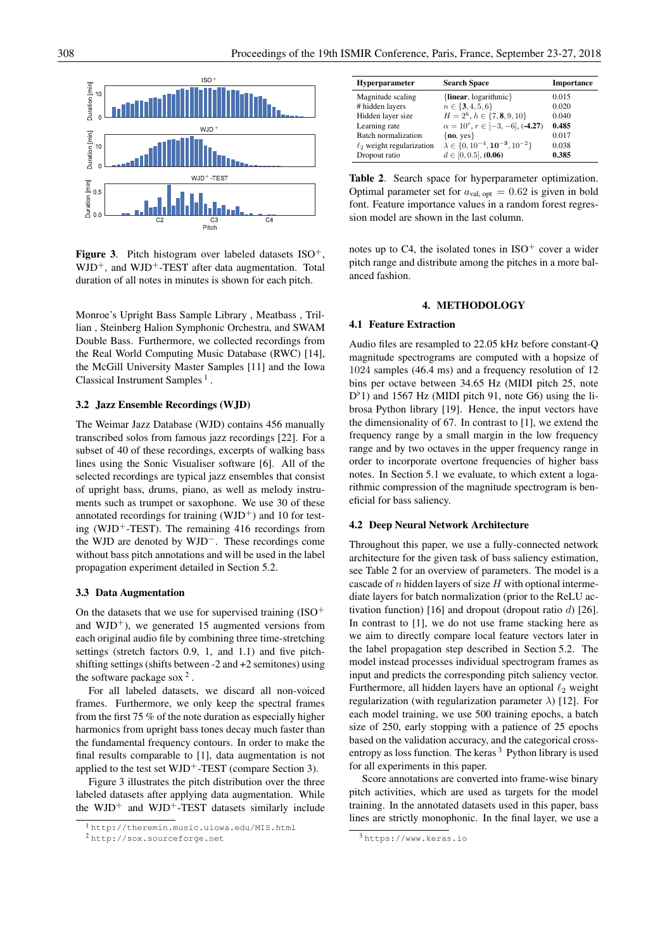

**Figure 3.** Pitch histogram over labeled datasets  $ISO^+$ .  $WD^+$ , and  $WD^+$ -TEST after data augmentation. Total duration of all notes in minutes is shown for each pitch.

Monroe's Upright Bass Sample Library , Meatbass , Trillian , Steinberg Halion Symphonic Orchestra, and SWAM Double Bass. Furthermore, we collected recordings from the Real World Computing Music Database (RWC) [14], the McGill University Master Samples [11] and the Iowa Classical Instrument Samples<sup>1</sup>.

## 3.2 Jazz Ensemble Recordings (WJD)

The Weimar Jazz Database (WJD) contains 456 manually transcribed solos from famous jazz recordings [22]. For a subset of 40 of these recordings, excerpts of walking bass lines using the Sonic Visualiser software [6]. All of the selected recordings are typical jazz ensembles that consist of upright bass, drums, piano, as well as melody instruments such as trumpet or saxophone. We use 30 of these annotated recordings for training  $(WJD^+)$  and 10 for testing (WJD<sup>+</sup>-TEST). The remaining 416 recordings from the WJD are denoted by WJD<sup>−</sup>. These recordings come without bass pitch annotations and will be used in the label propagation experiment detailed in Section 5.2.

## 3.3 Data Augmentation

On the datasets that we use for supervised training  $(ISO<sup>+</sup>)$ and  $WJD^+$ ), we generated 15 augmented versions from each original audio file by combining three time-stretching settings (stretch factors 0.9, 1, and 1.1) and five pitchshifting settings (shifts between -2 and +2 semitones) using the software package sox  $2$ .

For all labeled datasets, we discard all non-voiced frames. Furthermore, we only keep the spectral frames from the first 75 % of the note duration as especially higher harmonics from upright bass tones decay much faster than the fundamental frequency contours. In order to make the final results comparable to [1], data augmentation is not applied to the test set  $WJD^+$ -TEST (compare Section 3).

Figure 3 illustrates the pitch distribution over the three labeled datasets after applying data augmentation. While the  $WJD^+$  and  $WJD^+$ -TEST datasets similarly include

| <b>Hyperparameter</b>          | <b>Search Space</b>                             | <b>Importance</b> |  |
|--------------------------------|-------------------------------------------------|-------------------|--|
| Magnitude scaling              | { $linear, logarithmic$ }                       | 0.015             |  |
| # hidden layers                | $n \in \{3, 4, 5, 6\}$                          | 0.020             |  |
| Hidden layer size              | $H = 2h$ , $h \in \{7, 8, 9, 10\}$              | 0.040             |  |
| Learning rate                  | $\alpha = 10^r, r \in [-3, -6],$ (-4.27)        | 0.485             |  |
| Batch normalization            | $\{no, yes\}$                                   | 0.017             |  |
| $\ell_2$ weight regularization | $\lambda \in \{0, 10^{-4}, 10^{-3}, 10^{-2}\}\$ | 0.038             |  |
| Dropout ratio                  | $d \in [0, 0.5]$ , (0.06)                       | 0.385             |  |

Table 2. Search space for hyperparameter optimization. Optimal parameter set for  $a_{\text{val, opt}} = 0.62$  is given in bold font. Feature importance values in a random forest regression model are shown in the last column.

notes up to  $C4$ , the isolated tones in  $ISO^+$  cover a wider pitch range and distribute among the pitches in a more balanced fashion.

# 4. METHODOLOGY

## 4.1 Feature Extraction

Audio files are resampled to 22.05 kHz before constant-Q magnitude spectrograms are computed with a hopsize of 1024 samples (46.4 ms) and a frequency resolution of 12 bins per octave between 34.65 Hz (MIDI pitch 25, note  $D^{\flat}$ 1) and 1567 Hz (MIDI pitch 91, note G6) using the librosa Python library [19]. Hence, the input vectors have the dimensionality of 67. In contrast to [1], we extend the frequency range by a small margin in the low frequency range and by two octaves in the upper frequency range in order to incorporate overtone frequencies of higher bass notes. In Section 5.1 we evaluate, to which extent a logarithmic compression of the magnitude spectrogram is beneficial for bass saliency.

## 4.2 Deep Neural Network Architecture

Throughout this paper, we use a fully-connected network architecture for the given task of bass saliency estimation, see Table 2 for an overview of parameters. The model is a cascade of  $n$  hidden layers of size  $H$  with optional intermediate layers for batch normalization (prior to the ReLU activation function) [16] and dropout (dropout ratio  $d$ ) [26]. In contrast to [1], we do not use frame stacking here as we aim to directly compare local feature vectors later in the label propagation step described in Section 5.2. The model instead processes individual spectrogram frames as input and predicts the corresponding pitch saliency vector. Furthermore, all hidden layers have an optional  $\ell_2$  weight regularization (with regularization parameter  $\lambda$ ) [12]. For each model training, we use 500 training epochs, a batch size of 250, early stopping with a patience of 25 epochs based on the validation accuracy, and the categorical crossentropy as loss function. The keras  $3$  Python library is used for all experiments in this paper.

Score annotations are converted into frame-wise binary pitch activities, which are used as targets for the model training. In the annotated datasets used in this paper, bass lines are strictly monophonic. In the final layer, we use a

<sup>1</sup> http://theremin.music.uiowa.edu/MIS.html

<sup>2</sup> http://sox.sourceforge.net

<sup>3</sup> https://www.keras.io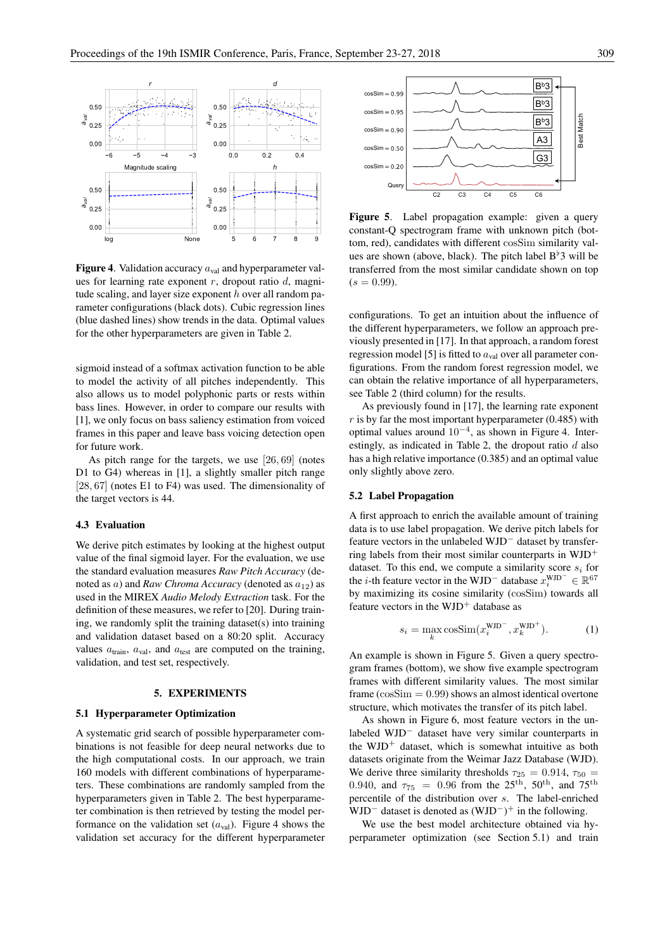

**Figure 4.** Validation accuracy  $a_{\text{val}}$  and hyperparameter values for learning rate exponent  $r$ , dropout ratio  $d$ , magnitude scaling, and layer size exponent  $h$  over all random parameter configurations (black dots). Cubic regression lines (blue dashed lines) show trends in the data. Optimal values for the other hyperparameters are given in Table 2.

sigmoid instead of a softmax activation function to be able to model the activity of all pitches independently. This also allows us to model polyphonic parts or rests within bass lines. However, in order to compare our results with [1], we only focus on bass saliency estimation from voiced frames in this paper and leave bass voicing detection open for future work.

As pitch range for the targets, we use [26, 69] (notes D1 to G4) whereas in [1], a slightly smaller pitch range [28, 67] (notes E1 to F4) was used. The dimensionality of the target vectors is 44.

## 4.3 Evaluation

We derive pitch estimates by looking at the highest output value of the final sigmoid layer. For the evaluation, we use the standard evaluation measures *Raw Pitch Accuracy* (denoted as a) and *Raw Chroma Accuracy* (denoted as  $a_{12}$ ) as used in the MIREX *Audio Melody Extraction* task. For the definition of these measures, we refer to [20]. During training, we randomly split the training dataset(s) into training and validation dataset based on a 80:20 split. Accuracy values  $a<sub>train</sub>$ ,  $a<sub>val</sub>$ , and  $a<sub>test</sub>$  are computed on the training, validation, and test set, respectively.

## 5. EXPERIMENTS

## 5.1 Hyperparameter Optimization

A systematic grid search of possible hyperparameter combinations is not feasible for deep neural networks due to the high computational costs. In our approach, we train 160 models with different combinations of hyperparameters. These combinations are randomly sampled from the hyperparameters given in Table 2. The best hyperparameter combination is then retrieved by testing the model performance on the validation set  $(a<sub>val</sub>)$ . Figure 4 shows the validation set accuracy for the different hyperparameter



Figure 5. Label propagation example: given a query constant-Q spectrogram frame with unknown pitch (bottom, red), candidates with different cosSim similarity values are shown (above, black). The pitch label  $B^{\dagger}3$  will be transferred from the most similar candidate shown on top  $(s = 0.99)$ .

configurations. To get an intuition about the influence of the different hyperparameters, we follow an approach previously presented in [17]. In that approach, a random forest regression model [5] is fitted to  $a_{val}$  over all parameter configurations. From the random forest regression model, we can obtain the relative importance of all hyperparameters, see Table 2 (third column) for the results.

As previously found in [17], the learning rate exponent  $r$  is by far the most important hyperparameter (0.485) with optimal values around 10<sup>−</sup><sup>4</sup> , as shown in Figure 4. Interestingly, as indicated in Table 2, the dropout ratio  $d$  also has a high relative importance (0.385) and an optimal value only slightly above zero.

#### 5.2 Label Propagation

A first approach to enrich the available amount of training data is to use label propagation. We derive pitch labels for feature vectors in the unlabeled WJD<sup>−</sup> dataset by transferring labels from their most similar counterparts in  $WJD^+$ dataset. To this end, we compute a similarity score  $s_i$  for the *i*-th feature vector in the WJD<sup>-</sup> database  $x_i^{\text{WJD}} \in \mathbb{R}^{67}$ by maximizing its cosine similarity (cosSim) towards all feature vectors in the  $WD^+$  database as

$$
s_i = \max_k \cos \text{Sim}(x_i^{\text{WJD}^-}, x_k^{\text{WJD}^+}).\tag{1}
$$

An example is shown in Figure 5. Given a query spectrogram frames (bottom), we show five example spectrogram frames with different similarity values. The most similar frame  $(cosSim = 0.99)$  shows an almost identical overtone structure, which motivates the transfer of its pitch label.

As shown in Figure 6, most feature vectors in the unlabeled WJD<sup>−</sup> dataset have very similar counterparts in the  $WJD^+$  dataset, which is somewhat intuitive as both datasets originate from the Weimar Jazz Database (WJD). We derive three similarity thresholds  $\tau_{25} = 0.914$ ,  $\tau_{50} =$ 0.940, and  $\tau_{75}$  = 0.96 from the 25<sup>th</sup>, 50<sup>th</sup>, and 75<sup>th</sup> percentile of the distribution over s. The label-enriched WJD<sup>-</sup> dataset is denoted as  $(WJD^-)^+$  in the following.

We use the best model architecture obtained via hyperparameter optimization (see Section 5.1) and train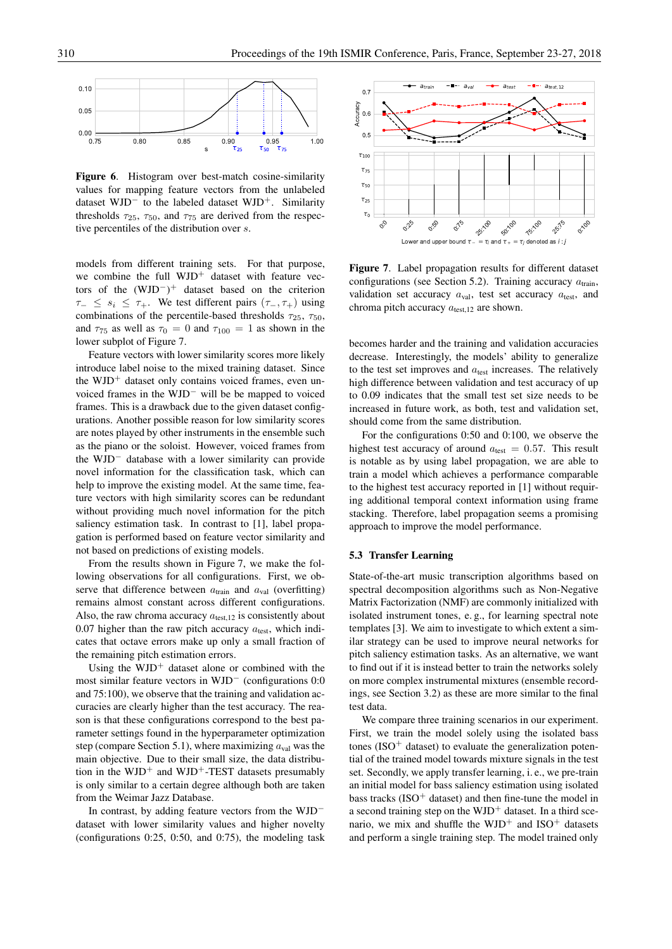

Figure 6. Histogram over best-match cosine-similarity values for mapping feature vectors from the unlabeled dataset WJD<sup>−</sup> to the labeled dataset WJD<sup>+</sup>. Similarity thresholds  $\tau_{25}$ ,  $\tau_{50}$ , and  $\tau_{75}$  are derived from the respective percentiles of the distribution over s.

models from different training sets. For that purpose, we combine the full WJD<sup>+</sup> dataset with feature vectors of the  $(WJD^-)^+$  dataset based on the criterion  $\tau_-\leq s_i\leq \tau_+$ . We test different pairs  $(\tau_-, \tau_+)$  using combinations of the percentile-based thresholds  $\tau_{25}$ ,  $\tau_{50}$ , and  $\tau_{75}$  as well as  $\tau_0 = 0$  and  $\tau_{100} = 1$  as shown in the lower subplot of Figure 7.

Feature vectors with lower similarity scores more likely introduce label noise to the mixed training dataset. Since the WJD<sup>+</sup> dataset only contains voiced frames, even unvoiced frames in the WJD<sup>−</sup> will be be mapped to voiced frames. This is a drawback due to the given dataset configurations. Another possible reason for low similarity scores are notes played by other instruments in the ensemble such as the piano or the soloist. However, voiced frames from the WJD<sup>−</sup> database with a lower similarity can provide novel information for the classification task, which can help to improve the existing model. At the same time, feature vectors with high similarity scores can be redundant without providing much novel information for the pitch saliency estimation task. In contrast to [1], label propagation is performed based on feature vector similarity and not based on predictions of existing models.

From the results shown in Figure 7, we make the following observations for all configurations. First, we observe that difference between  $a<sub>train</sub>$  and  $a<sub>val</sub>$  (overfitting) remains almost constant across different configurations. Also, the raw chroma accuracy  $a_{\text{test},12}$  is consistently about 0.07 higher than the raw pitch accuracy  $a_{\text{test}}$ , which indicates that octave errors make up only a small fraction of the remaining pitch estimation errors.

Using the  $WJD^+$  dataset alone or combined with the most similar feature vectors in WJD<sup>−</sup> (configurations 0:0 and 75:100), we observe that the training and validation accuracies are clearly higher than the test accuracy. The reason is that these configurations correspond to the best parameter settings found in the hyperparameter optimization step (compare Section 5.1), where maximizing  $a_{val}$  was the main objective. Due to their small size, the data distribution in the  $WJD^+$  and  $WJD^+$ -TEST datasets presumably is only similar to a certain degree although both are taken from the Weimar Jazz Database.

In contrast, by adding feature vectors from the WJD<sup>−</sup> dataset with lower similarity values and higher novelty (configurations 0:25, 0:50, and 0:75), the modeling task



Figure 7. Label propagation results for different dataset configurations (see Section 5.2). Training accuracy  $a_{\text{train}}$ , validation set accuracy  $a_{\text{val}}$ , test set accuracy  $a_{\text{test}}$ , and chroma pitch accuracy  $a_{\text{test},12}$  are shown.

becomes harder and the training and validation accuracies decrease. Interestingly, the models' ability to generalize to the test set improves and  $a_{test}$  increases. The relatively high difference between validation and test accuracy of up to 0.09 indicates that the small test set size needs to be increased in future work, as both, test and validation set, should come from the same distribution.

For the configurations 0:50 and 0:100, we observe the highest test accuracy of around  $a_{\text{test}} = 0.57$ . This result is notable as by using label propagation, we are able to train a model which achieves a performance comparable to the highest test accuracy reported in [1] without requiring additional temporal context information using frame stacking. Therefore, label propagation seems a promising approach to improve the model performance.

## 5.3 Transfer Learning

State-of-the-art music transcription algorithms based on spectral decomposition algorithms such as Non-Negative Matrix Factorization (NMF) are commonly initialized with isolated instrument tones, e. g., for learning spectral note templates [3]. We aim to investigate to which extent a similar strategy can be used to improve neural networks for pitch saliency estimation tasks. As an alternative, we want to find out if it is instead better to train the networks solely on more complex instrumental mixtures (ensemble recordings, see Section 3.2) as these are more similar to the final test data.

We compare three training scenarios in our experiment. First, we train the model solely using the isolated bass tones (ISO<sup>+</sup> dataset) to evaluate the generalization potential of the trained model towards mixture signals in the test set. Secondly, we apply transfer learning, i. e., we pre-train an initial model for bass saliency estimation using isolated bass tracks  $(ISO<sup>+</sup> dataset)$  and then fine-tune the model in a second training step on the  $WJD^+$  dataset. In a third scenario, we mix and shuffle the  $WJD^+$  and  $ISO^+$  datasets and perform a single training step. The model trained only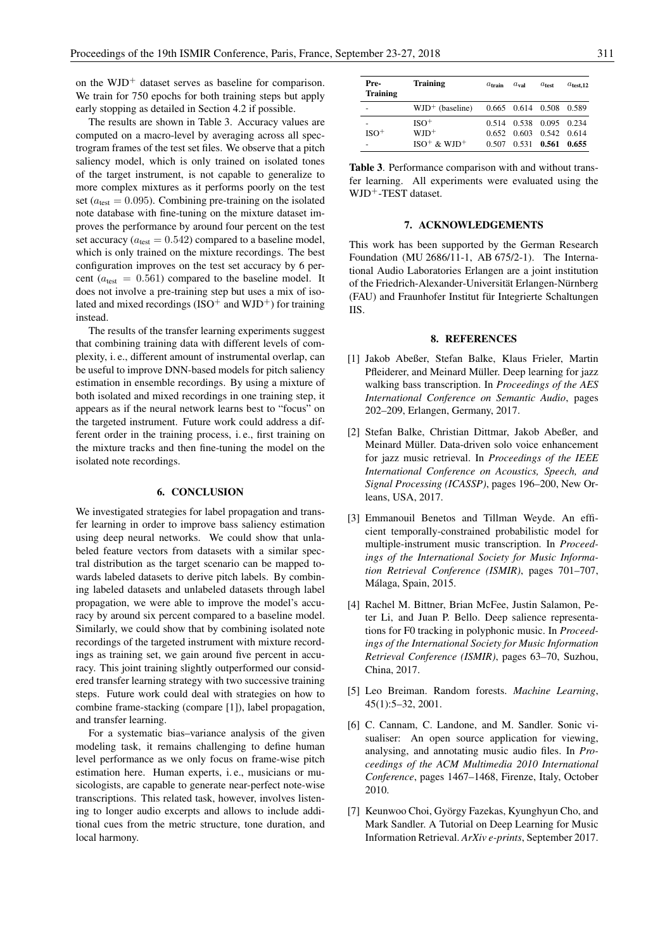on the  $WD^+$  dataset serves as baseline for comparison. We train for 750 epochs for both training steps but apply early stopping as detailed in Section 4.2 if possible.

The results are shown in Table 3. Accuracy values are computed on a macro-level by averaging across all spectrogram frames of the test set files. We observe that a pitch saliency model, which is only trained on isolated tones of the target instrument, is not capable to generalize to more complex mixtures as it performs poorly on the test set ( $a_{\text{test}} = 0.095$ ). Combining pre-training on the isolated note database with fine-tuning on the mixture dataset improves the performance by around four percent on the test set accuracy ( $a_{\text{test}} = 0.542$ ) compared to a baseline model, which is only trained on the mixture recordings. The best configuration improves on the test set accuracy by 6 percent ( $a_{\text{test}} = 0.561$ ) compared to the baseline model. It does not involve a pre-training step but uses a mix of isolated and mixed recordings (ISO<sup>+</sup> and WJD<sup>+</sup>) for training instead.

The results of the transfer learning experiments suggest that combining training data with different levels of complexity, i. e., different amount of instrumental overlap, can be useful to improve DNN-based models for pitch saliency estimation in ensemble recordings. By using a mixture of both isolated and mixed recordings in one training step, it appears as if the neural network learns best to "focus" on the targeted instrument. Future work could address a different order in the training process, i. e., first training on the mixture tracks and then fine-tuning the model on the isolated note recordings.

# 6. CONCLUSION

We investigated strategies for label propagation and transfer learning in order to improve bass saliency estimation using deep neural networks. We could show that unlabeled feature vectors from datasets with a similar spectral distribution as the target scenario can be mapped towards labeled datasets to derive pitch labels. By combining labeled datasets and unlabeled datasets through label propagation, we were able to improve the model's accuracy by around six percent compared to a baseline model. Similarly, we could show that by combining isolated note recordings of the targeted instrument with mixture recordings as training set, we gain around five percent in accuracy. This joint training slightly outperformed our considered transfer learning strategy with two successive training steps. Future work could deal with strategies on how to combine frame-stacking (compare [1]), label propagation, and transfer learning.

For a systematic bias–variance analysis of the given modeling task, it remains challenging to define human level performance as we only focus on frame-wise pitch estimation here. Human experts, i. e., musicians or musicologists, are capable to generate near-perfect note-wise transcriptions. This related task, however, involves listening to longer audio excerpts and allows to include additional cues from the metric structure, tone duration, and local harmony.

| Pre-<br><b>Training</b> | <b>Training</b>                           | $a_{\text{train}}$ | $a_{\rm val}$           | $a_{test}$  | $a_{\text{test},12}$ |
|-------------------------|-------------------------------------------|--------------------|-------------------------|-------------|----------------------|
| -                       | $WD^+$ (baseline) 0.665 0.614 0.508 0.589 |                    |                         |             |                      |
|                         | $ISO+$                                    |                    | 0.514 0.538 0.095 0.234 |             |                      |
| $ISO+$                  | $WD^+$                                    |                    | 0.652 0.603             | 0.542 0.614 |                      |
|                         | $ISO^{+}$ & WJD <sup>+</sup>              |                    | $0.507$ $0.531$ $0.561$ |             | - 0.655              |

Table 3. Performance comparison with and without transfer learning. All experiments were evaluated using the WJD<sup>+</sup>-TEST dataset.

## 7. ACKNOWLEDGEMENTS

This work has been supported by the German Research Foundation (MU 2686/11-1, AB 675/2-1). The International Audio Laboratories Erlangen are a joint institution of the Friedrich-Alexander-Universität Erlangen-Nürnberg (FAU) and Fraunhofer Institut für Integrierte Schaltungen IIS.

# 8. REFERENCES

- [1] Jakob Abeßer, Stefan Balke, Klaus Frieler, Martin Pfleiderer, and Meinard Müller. Deep learning for jazz walking bass transcription. In *Proceedings of the AES International Conference on Semantic Audio*, pages 202–209, Erlangen, Germany, 2017.
- [2] Stefan Balke, Christian Dittmar, Jakob Abeßer, and Meinard Müller. Data-driven solo voice enhancement for jazz music retrieval. In *Proceedings of the IEEE International Conference on Acoustics, Speech, and Signal Processing (ICASSP)*, pages 196–200, New Orleans, USA, 2017.
- [3] Emmanouil Benetos and Tillman Weyde. An efficient temporally-constrained probabilistic model for multiple-instrument music transcription. In *Proceedings of the International Society for Music Information Retrieval Conference (ISMIR)*, pages 701–707, Málaga, Spain, 2015.
- [4] Rachel M. Bittner, Brian McFee, Justin Salamon, Peter Li, and Juan P. Bello. Deep salience representations for F0 tracking in polyphonic music. In *Proceedings of the International Society for Music Information Retrieval Conference (ISMIR)*, pages 63–70, Suzhou, China, 2017.
- [5] Leo Breiman. Random forests. *Machine Learning*, 45(1):5–32, 2001.
- [6] C. Cannam, C. Landone, and M. Sandler. Sonic visualiser: An open source application for viewing, analysing, and annotating music audio files. In *Proceedings of the ACM Multimedia 2010 International Conference*, pages 1467–1468, Firenze, Italy, October 2010.
- [7] Keunwoo Choi, György Fazekas, Kyunghyun Cho, and Mark Sandler. A Tutorial on Deep Learning for Music Information Retrieval. *ArXiv e-prints*, September 2017.